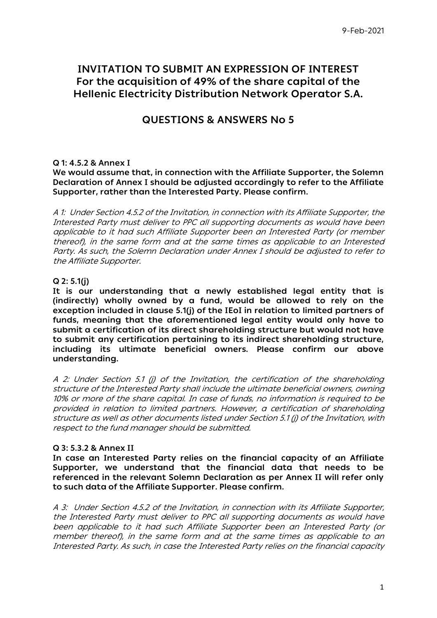# **INVITATION TO SUBMIT AN EXPRESSION OF INTEREST For the acquisition of 49% of the share capital of the Hellenic Εlectricity Distribution Νetwork Operator S.A.**

# **QUESTIONS & ANSWERS No 5**

## **Q 1: 4.5.2 & Annex I**

**We would assume that, in connection with the Affiliate Supporter, the Solemn Declaration of Annex I should be adjusted accordingly to refer to the Affiliate Supporter, rather than the Interested Party. Please confirm.**

A 1: Under Section 4.5.2 of the Invitation, in connection with its Affiliate Supporter, the Interested Party must deliver to PPC all supporting documents as would have been applicable to it had such Affiliate Supporter been an Interested Party (or member thereof), in the same form and at the same times as applicable to an Interested Party. As such, the Solemn Declaration under Annex I should be adjusted to refer to the Affiliate Supporter.

## **Q 2: 5.1(j)**

**It is our understanding that a newly established legal entity that is (indirectly) wholly owned by a fund, would be allowed to rely on the exception included in clause 5.1(j) of the IEoI in relation to limited partners of funds, meaning that the aforementioned legal entity would only have to submit a certification of its direct shareholding structure but would not have to submit any certification pertaining to its indirect shareholding structure, including its ultimate beneficial owners. Please confirm our above understanding.**

A 2: Under Section 5.1 (j) of the Invitation, the certification of the shareholding structure of the Interested Party shall include the ultimate beneficial owners, owning 10% or more of the share capital. In case of funds, no information is required to be provided in relation to limited partners. However, a certification of shareholding structure as well as other documents listed under Section 5.1 (j) of the Invitation, with respect to the fund manager should be submitted.

### **Q 3: 5.3.2 & Annex II**

**In case an Interested Party relies on the financial capacity of an Affiliate Supporter, we understand that the financial data that needs to be referenced in the relevant Solemn Declaration as per Annex II will refer only to such data of the Affiliate Supporter. Please confirm.**

A 3: Under Section 4.5.2 of the Invitation, in connection with its Affiliate Supporter, the Interested Party must deliver to PPC all supporting documents as would have been applicable to it had such Affiliate Supporter been an Interested Party (or member thereof), in the same form and at the same times as applicable to an Interested Party. As such, in case the Interested Party relies on the financial capacity